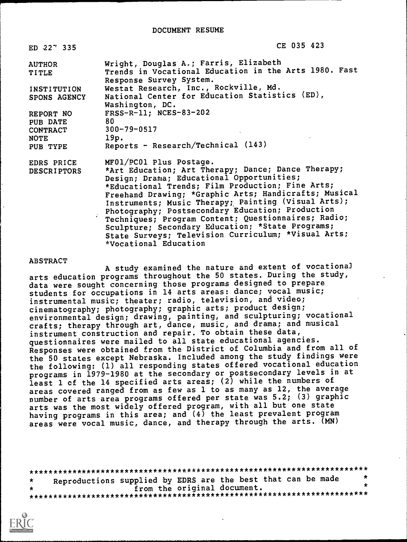| ED 227 335                                      | CE 035 423                                                                                                                                                                                                                                                                                                                                                                                                                                                                                                                                    |
|-------------------------------------------------|-----------------------------------------------------------------------------------------------------------------------------------------------------------------------------------------------------------------------------------------------------------------------------------------------------------------------------------------------------------------------------------------------------------------------------------------------------------------------------------------------------------------------------------------------|
| <b>AUTHOR</b><br>TITLE                          | Wright, Douglas A.; Farris, Elizabeth<br>Trends in Vocational Education in the Arts 1980. Fast<br>Response Survey System.                                                                                                                                                                                                                                                                                                                                                                                                                     |
| <b>INSTITUTION</b><br>SPONS AGENCY              | Westat Research, Inc., Rockville, Md.<br>National Center for Education Statistics (ED),<br>Washington, DC.                                                                                                                                                                                                                                                                                                                                                                                                                                    |
| REPORT NO<br><b>PUB DATE</b><br><b>CONTRACT</b> | FRSS-R-11; NCES-83-202<br>80<br>$300 - 79 - 0517$                                                                                                                                                                                                                                                                                                                                                                                                                                                                                             |
| NOTE<br>PUB TYPE                                | 19p.<br>Reports - Research/Technical $(143)$                                                                                                                                                                                                                                                                                                                                                                                                                                                                                                  |
| EDRS PRICE<br><b>DESCRIPTORS</b>                | MF01/PC01 Plus Postage.<br>*Art Education; Art Therapy; Dance; Dance Therapy;<br>Design; Drama; Educational Opportunities;<br>*Educational Trends; Film Production; Fine Arts;<br>Freehand Drawing; *Graphic Arts; Handicrafts; Musical<br>Instruments; Music Therapy; Painting (Visual Arts);<br>Photography; Postsecondary Education; Production<br>Techniques; Program Content; Questionnaires; Radio;<br>Sculpture; Secondary Education; *State Programs;<br>State Surveys; Television Curriculum; *Visual Arts;<br>*Vocational Education |

# ABSTRACT

A study examined the nature and extent of vocational arts education programs throughout the 50 states. During the study, data were sought concerning those programs designed to prepare students for occupations in 14 arts areas: dance; vocal music; instrumental music; theater; radio, television, and video; cinematography; photography; graphic arts; product design; environmental design; drawing, painting, and sculpturing; vocational crafts; therapy through art, dance, music, and drama; and musical instrument construction and repair. To obtain these data, questionnaires were mailed to all state educational agencies. Responses were obtained from the District of Columbia and from all of the 50 states except Nebraska. Included among the study findings were the following: (1) all responding states offered vocational education programs in 1979-1980 at the secondary or postsecondary levels in at least 1 cf the 14 specified arts areas; (2) while the numbers of areas covered ranged from as few as 1 to as many as 12, the average number of arts area programs offered per state was 5.2; (3) graphic arts was the most widely offered program, with all but one state having programs in this area; and  $(4)$  the least prevalent program areas were vocal music, dance, and therapy through the arts. (MN)

\*\*\*\*\*\*\*\*\*\*\*\*\*\*\*\*\*\*\*\*\*\*\*\*\*\*\*\*\*\*\*\*\*\*\*\*\*\*\*\*\*\*\*\*\*\*\*\*\*\*\*\*\*\*\*\*\*\*\*\*\*\*\*\*\*\*\*\*\*\*\* \* Reproductions supplied by EDRS are the best that can be made \*<br>\* \* from the original document. \* from the original document. \* \*\*\*\*\*\*\*\*\*\*\*\*\*\*\*\*\*\*\*\*\*\*\*\*\*\*\*\*\*\*\*\*\*\*\*\*\*\*\*\*\*\*\*\*\*\*\*\*\*\*\*\*\*\*\*\*\*\*\*\*\*\*\*\*\*\*\*\*\*\*\*

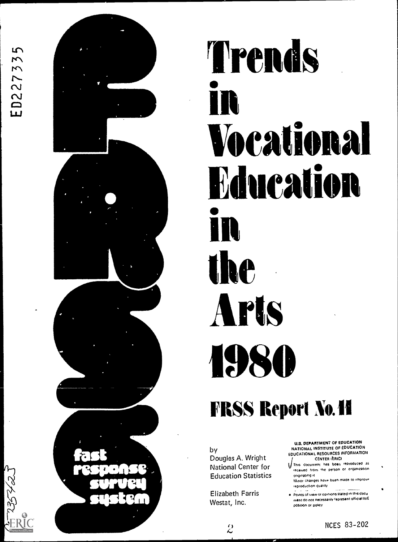ED227335



# Trends in Vocational **Education** in the Arts 1980

# FRSS Report No. 11

by Douglas A. Wright National Center for Education Statistics

Elizabeth Farris Westat, Inc.

 $\mathcal{L}$ 

U.S. DEPARTMENT OF EDUCATION NATIONAL INSTITUTE OF EDUCATION EDUCATIONAL RESOURCES INFORMATION CENTER (ERIC)

- This document has been reproduced as received from the person or organization ong.nahng rt Minor changes have been made to improv
- reproduction quality . Points of view or opinions stated in this docu
- ment do not necessarily represent official NIE position or policy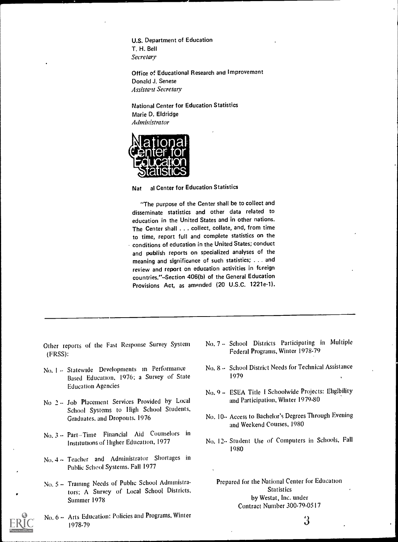U.S. Department of Education T. H. Bell **Secretary** 

Office of Educational Research and Improvemant Donald J. Senese Assistant Secretary

National Center for Education Statistics Marie D. Eldridge Administrator



Nat al Center for Education Statistics

"The purpose of the Center shall be to collect and disseminate statistics and other data related to education in the United States and in other nations. The Center shall . . . collect, collate, and, from time to time, report full and complete statistics on the conditions of education in the United States; conduct and publish reports on specialized analyses of the meaning and significance of such statistics; . . . and review and report on education activities in foreign countries."--Section 406(b) of the General Education Provisions Act, as amended (20 U.S.C. 1221e-1).

- Other reports of the Fast Response Survey System (FRSS):
- No. 1 -- Statewide Developments in Performance Based Education. 1976: a Survey of State Education Agencies
- No 2 -- Job Placement Services Provided by Local School Systems to High School Students, Graduates. and Dropouts. 1976
- No. 3 -- Part-Time Financial Aid Counselors in Institutions of Higher Education, 1977
- No. 4  $\sim$  Teacher and Administrator Shortages in Public School Systems. Fall 1977
- No. 5 -- Training Needs of Public School Administrators; A Survey of Local School Districts, Summer 1978
- No. 6 -- Arts Education: Policies and Programs. Winter 1978-79
- No. 7 -- School Districts Participating in Multiple Federal Programs, Winter 1978-79
- No. 8 -- School District Needs for Technical Assistance 1979
- No. 9-- ESEA Title I Schoolwide Projects: Eligibility and Participation, Winter 1979-80
- No. 10-- Access to Bachelor's Degrees Through Evening and Weekend Courses, 1980
- No. 12-- Student Use of Computers in Schools, Fall 1980

Prepared for the National Center for Education Statistics by Westat, Inc. under Contract Number 300-79-0517

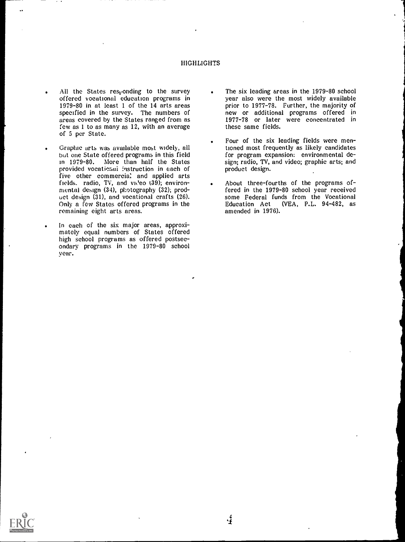# HIGHLIGHTS

 $\epsilon$ 

- All the States responding to the survey offered vocational education programs in 1979-80 in at least 1 of the 14 arts areas specified in the survey. The numbers of areas covered by the States ranged from as few as 1 to as many as 12, with an average of 5 per State.
- Graphic arts was available most widely, all but one State offered programs in this field in 1979-80. More than half the States provided vocational instruction in each of five other commercia: and applied arts fields. radio, TV, and  $vi\text{eeo}$  (39); environmental design (34), photography (32); product design (31), and vocational crafts (26). Only a few States offered programs in the remaining eight arts areas.
- . In each of the six major areas, approxi- mately equal numbers of States offered high school programs as offered postsecondary programs in the 1979-80 school year.
- . The six leading areas in the 1979-80 school year also were the most widely available prior to 1977-78. Further, the majority of new or additional programs offered in 1977-78 or later were concentrated in these same fields.
- Four of the six leading fields were mentioned most frequently as likely candidates for program expansion: environmental design; radio, TV, and video; graphic arts; and product design.
- About three-fourths of the programs offered in the 1979-80 school year received some Federal funds from the Vocational<br>Education Act (VEA, P.L. 94-482, as (VEA, P.L. 94-482, as amended in 1976).

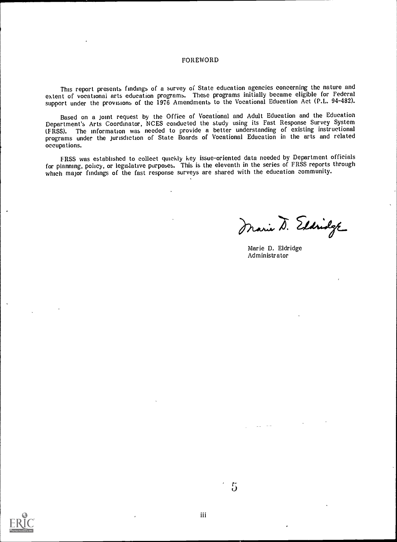# FOREWORD

This report presents findings of a survey of State education agencies concerning the nature and extent of vocational arts education programs. These programs initially became eligible for Federal support under the provisions of the 1976 Amendments to the Vocational Education Act (P.L. 94-482).

Based on a joint request by the Office of Vocational and Adult Education and the Education Department's Arts Coordinator, NCES conducted the study using its Fast Response Survey System (FRSS). The information was needed to provide a better understanding of existing instructional programs under the jurisdiction of State Boards of Vocational Education in the arts and related occupations.

FRSS was established to collect quickly key issue-oriented data needed by Department officials for planning, policy, or legislative purposes. This is the eleventh in the series of FRSS reports through which major findings of the fast response surveys are shared with the education community.

Marie D. Eldridge

Marie D. Eldridge Administrator

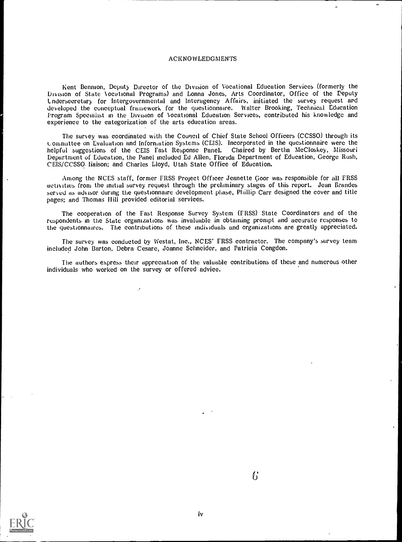# ACKNOWLEDGMENTS

Kent Bennion, Deputy Director of the Division of Vocational Education Services (formerly the Division of State Vocational Programs) and Lonna Jones, Arts Coordinator, Office of the Deputy L ndersecretary for Intergovernmental and Interagency Affairs, initiated the survey request and developed the conceptual framework for the questionnaire. Walter Brooking, Technical Education Program Specialist in the Division of Vocational Education Services, contributed his knowledge and experience to the categorization of the arts education areas.

The survey was coordinated with the Council of Chief State School Officers (CCSSO) through its Committee on Evaluation and Inforniation Systems (CEIS). Incorporated in the questionnaire were the helpful suggestions of the CEIS Fast Response Panel. Chaired by Bertha McCloskey, Missouri Department of Education, the Panel included Ed Allen, Florida Department of Education, George Rush, CEIS/CCSSO. liaison; and Charles Lloyd, Utah State Office of Education.

Among the NCES staff, former FRSS Project Officer Jeanette Goor was responsible for all FRSS activities from the initial survey request through the preliminary stages of this report. Jean Brandes served as advisor during the questionnaire development phase, Phillip Carr designed the cover and title pages; and Thomas Hill provided editorial services.

The cooperation of the Fast Response Survey System (FRSS) State Coordinators and of the respondents in the State organizations was invaluable in obtaining prompt and accurate responses to the questionnaires. The contributions of these individuals and organizations are greatly appreciated.

The survey was conducted by Westat, Inc., NCES' FRSS contractor. The company's survey team included John Barton, Debra Cesare, Joanne Schneider, and Patricia Congdon.

The authors express their appreciation of the valuable contributions of these and numerous other individuals who worked on the survey or offered advice.



 $\mathfrak{b}$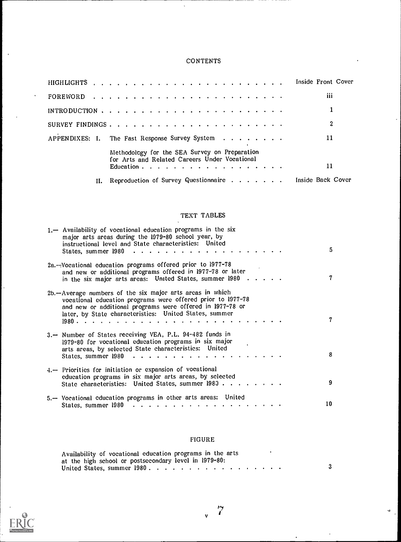# **CONTENTS**

 $\ddot{\phantom{a}}$ 

|    | Inside Front Cover                                                                                                                                                      |
|----|-------------------------------------------------------------------------------------------------------------------------------------------------------------------------|
|    | iii                                                                                                                                                                     |
|    | 1                                                                                                                                                                       |
|    | 2                                                                                                                                                                       |
|    | APPENDIXES: I. The Fast Response Survey System<br>11                                                                                                                    |
|    | Methodology for the SEA Survey on Preparation<br>for Arts and Related Careers Under Vocational<br>11<br>Education $\cdots$ $\cdots$ $\cdots$ $\cdots$ $\cdots$ $\cdots$ |
| н. | Reproduction of Survey Questionnaire Inside Back Cover                                                                                                                  |

# TEXT TABLES

| 1. - Availability of vocational education programs in the six<br>major arts areas during the 1979-80 school year, by<br>instructional level and State characteristics: United<br>States, summer 1980                                           | 5  |
|------------------------------------------------------------------------------------------------------------------------------------------------------------------------------------------------------------------------------------------------|----|
| 2a.--Vocational education programs offered prior to 1977-78<br>and new or additional programs offered in 1977-78 or later<br>in the six major arts areas: United States, summer $1980$                                                         | 7  |
| 2b.-Average numbers of the six major arts areas in which<br>vocational education programs were offered prior to 1977-78<br>and new or additional programs were offered in 1977-78 or<br>later, by State characteristics: United States, summer |    |
| 3. - Number of States receiving VEA, P.L. 94-482 funds in<br>1979-80 for vocational education programs in six major<br>arts areas, by selected State characteristics: United<br>States, summer 1980                                            | 8  |
| 4.-- Priorities for initiation or expansion of vocational<br>education programs in six major arts areas, by selected<br>State characteristics: United States, summer 1980                                                                      | 9  |
| 5.-- Vocational education programs in other arts areas: United                                                                                                                                                                                 | 10 |

# FIGURE

| Availability of vocational education programs in the arts |  |
|-----------------------------------------------------------|--|
| at the high school or postsecondary level in 1979-80:     |  |
| United States, summer $1980$ .                            |  |



 $\bar{\mathbf{x}}$ 

 $\ddot{\phantom{0}}$ 

 $\overline{a}$ 

 $\hat{\mathbf{u}}$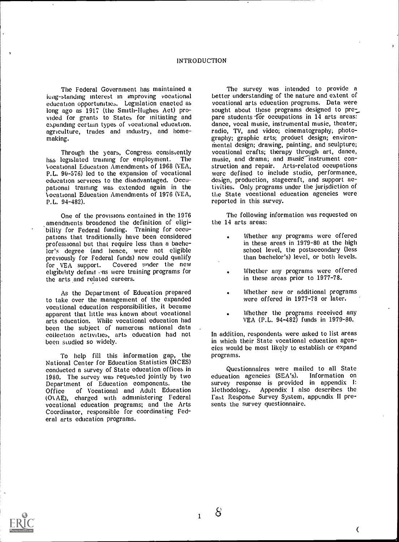long-standing interest in improving vocational education opportunities. Legislation enacted as long ago as 1917 (the Smith-Hughes Act) pro- vided for grants to States for initiating and expanding certam types of vocational education. agriculture, trades and industry, and homemaking.

Through the years, Congress consistently<br>legislated training for employment. The has legislated training for employment. ocational Education Amendments of 1968 (VEA, P.L. 90-576) led to the expansion of vocational education services to the disadvantaged. Occupational training was extended again in the ocational Education Amendments of 1976 (VEA, P.L. 94-482).

One of the provisions contained in the 1976 amendments broadened the definition of eligibility for Federal funding. Training for occupations that traditionally have been considered professional but that require less than a bachelor's degree (and hence, were not eligible previously for Federal funds) now could qualify<br>for VEA support. Covered under the new Covered under the new eligibility definit ons were training programs for the arts and related careers.

As the Department of Education prepared to take over the management of the expanded vocational education responsibilities, it became apparent that little was known about vocational arts education. While vocational education had been the subject of numerous national data collection activities, arts education had not been studied so widely.

To help fill this information gap, the National Center for Education Statistics (NCES) conducted a survey of State education offices in 1980. The survey was requested jointly by two<br>Department of Education components. the Department of Education components. the survey responent of Education and Adult Education Methodology. of Vocational and Adult Education (01,AE), charged with administering Federal vocational education programs; and the Arts Coordinator, responsible for coordinating Federal arts education programs.

The Federal Government has maintained a the survey was intended to provide a standing of the nature and extent of The survey was intended to provide a vocational arts education programs. Data were sought about those programs designed to prepare students for occupations in  $14$  arts areas: dance, vocal music, instrumental music, theater;<br>radio, TV, and video; cinematography; photography; graphic arts; product design; environ-<br>mental design; drawing, painting, and sculpture; vocational crafts; therapy through art, dance, music, and drama; and music instrument construction and repair. Arts-related occupations were defined to include studio, performance, design, production, stagecraft, and support activities. Only programs under the jurisdiction of the State vocational education agencies were reported in this survey.

> The following information was requested on the 14 arts areas:

- Whether any programs were offered in these areas in 1979-80 at the high school level, the postsecondary (less than bachelor's) level, or both levels.
- Whether any programs were offered in these areas prior to 1977-78.
- Whether new or additional programs were offered in 1977-78 or later.
- Whether the programs received any VEA (P.L. 94-482) funds in 1979-80.

In addition, respondents were asked to list areas in which their State vocational education agencies would be most likely to establish or expand programs.

Questionnaires were mailed to all State education agencies (SEA's). survey response is provided in appendix I: Appendix I also describes the Fast Response Survey System, appendix II presents the survey questionnaire.

 $\overline{C}$ 

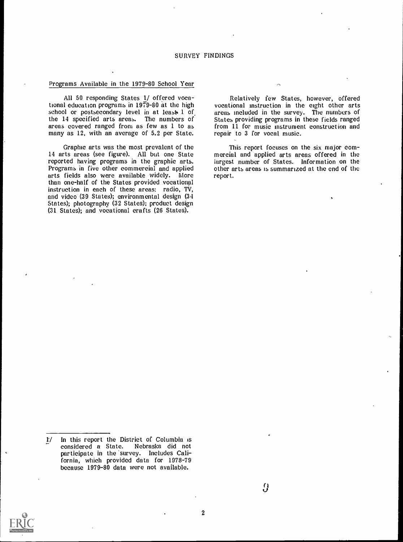# SURVEY FINDINGS

# Programs Available in the 1979-80 School Year

All 50 responding States 1/ offered vocational education programs in 1979-80 at the high vocational instruction in the eight other arts school or postsecondary level in at least 1 of areas included in the survey. The numbers of school or postsecondary level in at least  $1$  of the 14 specified arts areas. The numbers of areas covered ranged from as few as 1 to as many as 12, with an average of 5.2 per State.

Graphic arts was the most prevalent of the 14 arts areas (see figure). All but one State reported having programs in the graphic arts. Programs in five other commercial and applied arts fields also were available widely. More instruction in each of these areas: radio, TV, and video (39 States); environmental design (34 States); photography (32 States); product design (31 States); and vocational crafts (26 States).

Relatively few States, however, offered vocational instruction in the eight other arts States providing programs in these fields ranged from 11 for music mstrument construction and repair to 3 for vocal music.

This report focuses on the six major com- mercial and applied arts areas offered in the largest number of States. Information on the other arts areas is summarised at the end of the report.

 $\sim$ 

<sup>1/</sup> \_ In this report the District of Columbia is considered a State. Nebraska did not participate in the 'survey. Includes California, which provided data for 1978-79 because 1979-80 data were not available.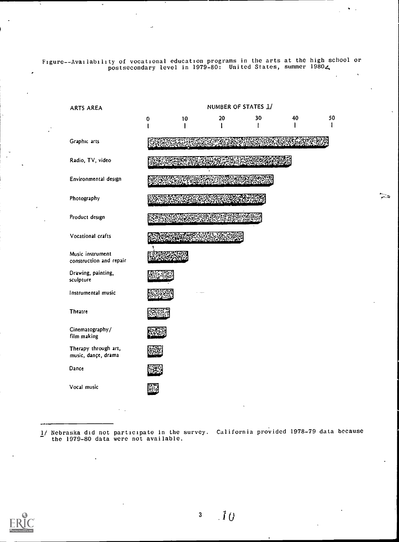Figure--Availability of vocational education programs in the arts at the high school or postsecondary level in 1979-80: United States, summer 19804



ాం

1/ Nebraska did not participate in the survey. California provided 1978-79 data because the 1979-80 data were not available.

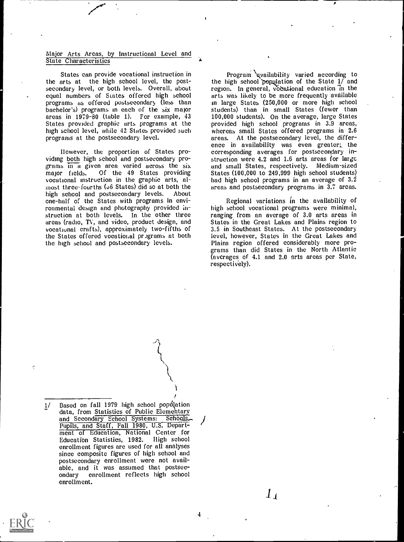# Major Arts Areas, by Instructional Level and State Characteristics

States can provide vocational instruction in the arts at the high school level, the postsecondary level, or both levels. Overall, about equal numbers of States offered high school programs as offered postsecondary (less than bachelor's) programs in each of the six major areas in 1979-80 (table 1). For example, 43 States provided graphic arts programs at the high school level, while 42 States provided such programs at the postsecondary level.

IIowever, the proportion of States programs in a given area varied across the six and small States, respectively. Medium-sized major fields. Of the 49 States providing States (100,000 to 249,999 high school students) Of the 49 States providing vocational instruction in the graphic arts, almost three-fourths ( $J6$  States) did so at both the high school and postsecondary levels. About high school and postsecondary levels. one-half of the States with programs in environmental design and photography provided in-<br>struction at both levels. In the other three ranging from an average of 3.0 arts areas in<br>areas (radio, TV, and video, product design, and States in the Great Lakes and Plains areas (radio, TV, and video, product design, and vocational crafts), approximately two-fifths of the States offered vocational programs at both level, however, States in the Great Lakes and<br>the high school and postsecondary levels. Plains region offered considerably more prothe high school and postsecondary levels.

Program qvailability varied according to the high school population of the State  $1/$  and region. In general, vocational education in the arts was likely to be more frequently available in large States (250,000 or more high school students) than in small States (fewer than 100,000 students). On the average, large States provided high school programs in 3.9 areas, whereas small States offered programs in 2.6 areas. At the postsecondary level, the difference in availability was even greater;, the corresponding averages for postsecondary instruction were 4.2 and 1.6 arts areas for large and small States, respectively. Medium-sized had high school programs in an average of  $3.2$ areas and postsecondary programs in 3,7 areas.

Regional variations in the availability of ranging from an average of 3.0 arts areas in 3.5 in Southeast States. At the postsecondary level, however, States in the Great Lakes and grams than did States in the North Atlantic (averages of 4.1 and 2.0 arts areas per State, respectively).

1/ Based on fall 1979 high school population<br>" data, from <u>Statistics</u> of Public Elementary and Secondary School Systems: Schools-, Pupils, and Staff, Fall 1980, U.S. Depart- ment of Education, National Center for Educatibn Statistics, 1982. High school enrollment figures are used for all analyses since composite figures of high school and postsecondary enrollment were not available, and it was assumed that postsec-<br>ondary – enrollment reflects high school enrollment reflects high school enrollment.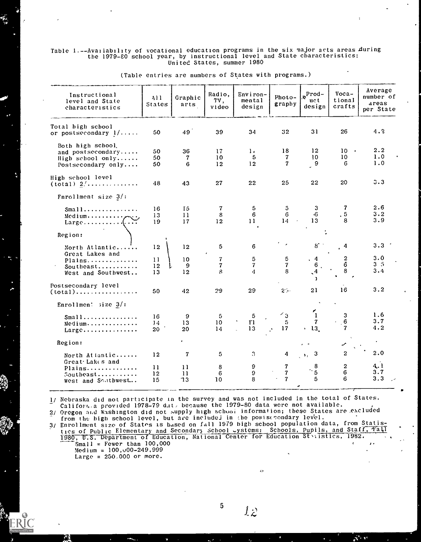### Table 1.--Avai1abi1ity of vocational education programs in the six major arts areas Auring the 1979-80 school year, by instructional level and State characteristics: United States, summer 1980

| Instructional<br>level and State<br>characteristics                          | A11<br>States  | Graphic<br>arts | Radio,<br>TV,<br>video | Environ-<br>mental<br>design | Photo-<br>graphy             | $\int_{\mathbf{R}} \mathbf{P} \cdot \mathbf{P} \cdot \mathbf{P}$<br>uct<br>design | $Voca-$<br>tional<br>crafts           | Average<br>number of<br>areas<br>per State |
|------------------------------------------------------------------------------|----------------|-----------------|------------------------|------------------------------|------------------------------|-----------------------------------------------------------------------------------|---------------------------------------|--------------------------------------------|
| Total bigh school<br>or postsecondary $1/\ldots$ .                           | 50             | 49              | 39                     | 34                           | 32                           | 31                                                                                | 26                                    | 4.2                                        |
| Both high school.<br>and postsecondary                                       | 50             | 36              | 17                     | $\mathbf{1}$                 | 18                           | 12                                                                                | 10 <sup>°</sup><br>$\bullet$          | 2.2                                        |
| High school only<br>Postsecondary only                                       | 50<br>50       | 7<br>6          | 10 <sup>°</sup><br>12  | 5<br>12                      | 7<br>$\overline{\mathbf{r}}$ | 10<br>$\frac{9}{2}$                                                               | 10<br>6                               | 1.0<br>1.0                                 |
| High school level<br>$(total)$ $2/$                                          | 48             | 43              | 27                     | 22                           | 25                           | 22                                                                                | 20                                    | 3.3                                        |
| Fnrollment size $3/$ :                                                       |                |                 |                        |                              |                              |                                                                                   |                                       |                                            |
| $Small$<br>$Medium \ldots \ldots \ldots \ldots$<br>$Large \dots \dots \dots$ | 16<br>13<br>19 | Ι5<br>11<br>17  | 7<br>8<br>12           | 5<br>6<br>11                 | 5<br>6<br>14<br>$\lambda$    | 3<br>٠6<br>13                                                                     | 7<br>$\sqrt{5}$<br>8                  | 2.6<br>3.2<br>3.9                          |
| Region:                                                                      |                |                 |                        |                              |                              |                                                                                   |                                       |                                            |
| North Atlantic<br>Great Lakes and                                            | 12             | 12              | 5                      | 6                            |                              | $8^\circ$                                                                         | 4                                     | 3.3                                        |
| Plains                                                                       | 11             | 10 <sup>°</sup> | $\pmb{7}$              | 5                            | 5<br>$\overline{7}$          | . 4<br>6                                                                          | $\begin{array}{c} 2 \\ 6 \end{array}$ | 3.0<br>3 <sub>5</sub>                      |
| Southeast<br>West and Southwest                                              | 12<br>13       | 9<br>12         | 7<br>8                 | 7<br>4                       | 8                            | $\mathbf{A}$                                                                      | 8                                     | 3.4                                        |
| Postsecondary level<br>$(total)$                                             | 50             | 42              | 29                     | 29                           | $25 -$                       | 21                                                                                | 16                                    | 3.2                                        |
| Enrollmen: $size 3/$ :                                                       |                |                 |                        |                              |                              |                                                                                   |                                       |                                            |
| $Small$                                                                      | 16             | 9               | 5                      | $\mathbf 5$                  | $\mathbf{L}_{3}$             | ∕<br>$\mathbf{I}$                                                                 | 3                                     | 1.6                                        |
| Medium                                                                       | 14             | 13              | 10 <sup>°</sup>        | $\Gamma$                     | -5                           | $\mathbf{7}$                                                                      | 6                                     | 3.7                                        |
| Large                                                                        | 20             | 20              | 14                     | 13                           | 17                           | $\cdot$ 13                                                                        | $\mathbf{7}$                          | 4.2                                        |
| Region:                                                                      |                |                 |                        |                              |                              |                                                                                   | ৴                                     |                                            |
| North Attantic<br>Great Lakes and                                            | 12             | 7               | 5                      | 3                            | 4                            | $\begin{pmatrix} 3 \end{pmatrix}$                                                 | $\boldsymbol{2}$                      | 2.0                                        |
| Plains                                                                       | 11             | 11              | 8                      | 9                            | 7                            |                                                                                   | $\boldsymbol{2}$                      | 4.1                                        |
| Southeast                                                                    | 12             | 11              | 6                      | $\pmb{9}$                    | $\overline{7}$               | $\cdot \frac{8}{5}$                                                               | $\mathbf 6$                           | 3.7                                        |
| West and Southwest                                                           | 15             | 73              | 10                     | 8                            | $\overline{\mathbf{r}}$      | 5                                                                                 | 6                                     | 3.3                                        |

(Table entries are numbers of States with programs.)

11 Nebraska did not participate in the survey and was not included in the total of States. Califort. a provided 1978-79 dat, because the 1979-80 data were not available. 2/ Oregon and Washington did not supply high school information; these States are excluded

from the high school level, but are included in the posiscrondary level. The  $\sim$ 

3/ Enrollment size of Statos is based on fall 1979 high school population data, from Statistics of Public Elementary and Secondary school -ystems: Schools, Pupils, and Staff,  $\frac{1}{1}$ 1980, U.S. Department of Education, National Center for Education Stistics, 1982. Small = Fewer than 100,000<br>Medium = 100,000-249,999 Large =  $250.000$  or more.

 $L2$ 

 $\mathbf{C}$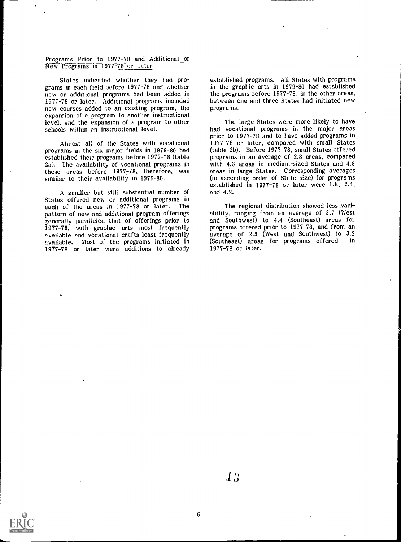# Programs Prior to 1977-78 and Additional or New Programs in 1977-78 or Later

States indicated whether they had programs in each field before 1977-78 and whether new or additional programs had been added in 1977-78 or later. Additional programs included new courses added to an existing program, the expansion of a program to another instructional level, and the expansion of a program to other schools within an instructional level.

Almost all of the States with vocational programs in the six major fields in 1979-80 had established their programs before 1977-78 (table 2a). The availability of vocational programs in these areas before  $1977 - 78$ , therefore, was similar to their availability in 1979-80.

A smaller but still substantial number of States offered new or additional programs in<br>each of the areas in 1977-78 or later. The The regional distribution showed less varieach of the areas in 1977-78 or later. The pattern of new and additional program offerings generally paralleled that of offerings prior to 1977-78, with graphic arts most frequently available and vocational crafts least frequently available. Most of the programs initiated in 1977-78 or later were additions to already

established programs. All States with programs in the graphic arts in 1979-80 had established the programs before 1977-78, in the other areas, between one and three States had initiated new programs.

The large States were more likely to have had vocational programs in the major areas prior to 1977-78 and to have added programs in 1977-78 or later, compared with small States (table 2b). Before 1977-78, small States offered programs in an average of 2.8 areas, compared with 4.3 areas in medium-sized States and 4.8 areas in large States. Corresponding averages (in ascending order of State size) for programs established in 1977-78 Gr later were 1.8, 2.4, and 4.2.

ability, ranging from an average of 3.7 (West and Southwest) to 4.4 (Southeast) areas for programs offered prior to 1977-78, and from an average of 2.5 (West and Southwest) to 3.2<br>(Southeast) areas for programs offered in (Southeast) areas for programs offered 1977-78 or later.



 $1.9$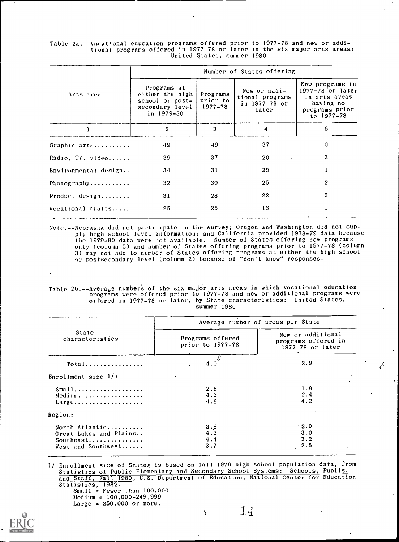Table 2a.--Votational education programs offered prior to 1977-78 and new or additional programs offered in 1977-78 or later in the six major arts areas: United States, summer 1980

|                      | Number of States offering                                                          |                                 |                                                           |                                                                                                   |  |  |  |  |
|----------------------|------------------------------------------------------------------------------------|---------------------------------|-----------------------------------------------------------|---------------------------------------------------------------------------------------------------|--|--|--|--|
| Arts area            | Programs at<br>either the high<br>school or post-<br>secondary level<br>in 1979-80 | Programs<br>prior to<br>1977-78 | New or audi-<br>tional programs<br>in 1977-78 or<br>later | New programs in<br>1977-78 or later<br>in arts areas<br>having no<br>programs prior<br>to 1977-78 |  |  |  |  |
|                      | $\overline{2}$                                                                     | 3                               | 4                                                         | 5.                                                                                                |  |  |  |  |
| Graphic arts         | 49                                                                                 | 49                              | 37                                                        | $\mathbf{0}$                                                                                      |  |  |  |  |
| Radio, TV, video     | 39                                                                                 | 37                              | 20                                                        | 3                                                                                                 |  |  |  |  |
| Environmental design | 34                                                                                 | 31                              | 25                                                        |                                                                                                   |  |  |  |  |
| $Pi$ ot og raphy     | 32                                                                                 | 30                              | 25                                                        | $\mathbf{2}$                                                                                      |  |  |  |  |
| Product design       | 31                                                                                 | 28                              | 22                                                        | 2                                                                                                 |  |  |  |  |
| Vocational crafts    | 26                                                                                 | 25                              | 16                                                        |                                                                                                   |  |  |  |  |
|                      |                                                                                    |                                 |                                                           |                                                                                                   |  |  |  |  |

Note.--Nebraska did not participate in the survey; Oregon and Washington did not supply high school level information; and California provided 1978-79 data because the 1979-80 data were not available. Number of States offering new programs only (column 5) and number of States offering programs prior to 1977-78 (column 3) may not add to number of States offering programs at either the high school or postsecondary level (column 2) because of "don't know" responses.

Table 2b.--Average numbers of the six majOr arts areas in which vocational education programs were offered prior to 1977-78 and new or additional programs were oifered in 1977-78 or later, by State characteristics: United States, summer 1980

|                                                                             | Average number of areas per State    |                                                              |   |  |  |  |
|-----------------------------------------------------------------------------|--------------------------------------|--------------------------------------------------------------|---|--|--|--|
| State<br>characteristics                                                    | Programs offered<br>prior to 1977-78 | New or additional<br>programs offered in<br>1977-78 or later |   |  |  |  |
| Total                                                                       | 4.0                                  | 2.9                                                          |   |  |  |  |
| Enrollment size $1/$ :                                                      |                                      |                                                              |   |  |  |  |
| $Small$<br>Medium<br>$Large \ldots \ldots \ldots \ldots \ldots$             | 2.8<br>4.3<br>4.8                    | 1.8<br>2.4<br>4.2                                            | , |  |  |  |
| Region:                                                                     |                                      |                                                              |   |  |  |  |
| North Atlantic<br>Great Lakes and Plains<br>Southeast<br>West and Southwest | $3.8$<br>$4.3$<br>4.4<br>3.7         | $^{\circ}$ 2.9<br>3.0<br>3.2<br>2.5                          |   |  |  |  |

1/ Enrollment size of States is based on fall 1979 high school population data, from<br>
Statistics of Public Elementary and Secondary School Systems: Schools, Pupils, Statistics of Public Elementary and Secondary School Systems: Schools, Pupils, and Staff, Fall 1980, U.S. Department of Education, National Center for Education Statistics, 1982.

Small = Fewer than 100,000  $Medium = 100,000-249,999$ Large =  $250,000$  or more.



7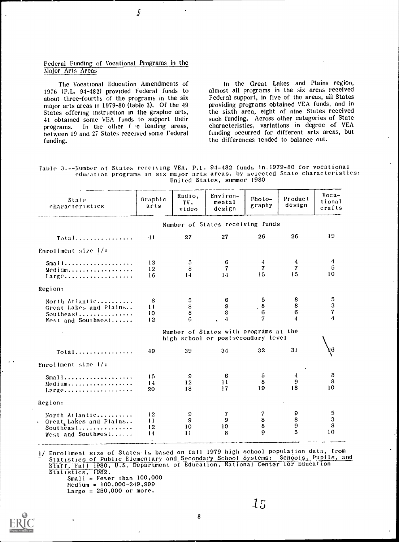# Federal Funding of Vocational Programs in the Major Arts Areas

ŷ

The Vocational Education Amendments of 1976 (P.L. 94-482) provided Federal funds to about three-fourths of the programs in the six major arts areas in 1979-80 (table 3). Of the 49 States offering instruction in the graphic arts, 41 obtained some VEA funds to support their programs. In the other 1 e leading areas, between 19 and 27 States received some Federal funding.

In the Great Lakes and Plains region, almost all programs in the six areas received Federal support, in five of the areas, all States providing programs obtained VEA funds, and in the sixth area, eight of nine States received such funding. Across other categories of State characteristics, variations in degree of VEA funding occurred for different arts areas, but the differences tended to balance out.

Table 3.--Number of States receiving VEA, P.I. 94-482 funds in.1979-80 for vocational education programs in six major arts areas, by selected State characteristics: United States, summer 1980

| State<br>characteristics                                                      | Graphic<br>arts                   | Radio,<br>TV,<br>video       | $Envi$ ron-<br>mental<br>design                                             | Photo-<br>graphy                                 | Product<br>design                    | $Voca-$<br>tional<br>crafts            |
|-------------------------------------------------------------------------------|-----------------------------------|------------------------------|-----------------------------------------------------------------------------|--------------------------------------------------|--------------------------------------|----------------------------------------|
|                                                                               |                                   |                              | Number of States receiving funds                                            |                                                  |                                      |                                        |
| Total                                                                         | $-11$                             | 27                           | 27                                                                          | 26                                               | 26                                   | 19                                     |
| Enrollment size 1/:                                                           |                                   |                              |                                                                             |                                                  |                                      |                                        |
| Sma 11<br>Medium<br>Large                                                     | 13<br>12<br>16                    | 5<br>8<br>1.4                | 6<br>$\overline{7}$<br>1.1                                                  | 4<br>$\overline{\mathbf{7}}$<br>15               | 4<br>$\overline{\mathbf{7}}$<br>15   | 4<br>5<br>10                           |
| Region:                                                                       |                                   |                              |                                                                             |                                                  |                                      |                                        |
| North Atlantic<br>Great Lakes and Plains<br>Southeast<br>West and Southwest   | 8<br>11<br>10<br>12               | 5.<br>$\bf 8$<br>8<br>6      | 6<br>9<br>8<br>4                                                            | -5<br>$\begin{array}{c} 8 \\ 6 \end{array}$<br>7 | 8<br>$\bf8$<br>6<br>4                | 5<br>3<br>$\overline{\mathbf{7}}$<br>4 |
|                                                                               |                                   |                              | Number of States with programs at the<br>high school or postsecondary level |                                                  |                                      |                                        |
| Total                                                                         | 49                                | 39                           | 34                                                                          | 32                                               | 31                                   | 26                                     |
| Enrollment size $1/$ :                                                        |                                   |                              |                                                                             |                                                  |                                      |                                        |
| $Small$<br>Medium<br>$Lərge$                                                  | 15<br>14<br>20                    | 9<br>12<br>18                | 6<br>$\mathbf{1}$<br>17                                                     | 5<br>8<br>19                                     | 4<br>$\mathbf{9}$<br>18              | 8<br>8<br>10                           |
| Region:                                                                       |                                   |                              |                                                                             |                                                  |                                      |                                        |
| North Atlantic<br>• Great Lakes and Plains<br>Southeast<br>West and Southwest | 12<br>11<br>12<br>14<br>$\bullet$ | 9<br>9<br>10<br>$\mathbf{1}$ | 7<br>$\mathbf{9}$<br>10<br>8                                                | 7<br>$\bf8$<br>8<br>9                            | 9<br>$\bf8$<br>$\boldsymbol{9}$<br>5 | 5<br>3<br>8<br>10                      |

1/ Enrollment size of States-is based on fall 1979 high school population data, from Statistics of Public Elementary and Secondary School Systems: Schools, Pupils, and Staff, Fall 1980, U.S. Department of Education, National Center for Education Statistics, 1982. Small = Fewer than 100,000 Medium = 100,000-249,999  $Large = 250,000$  or more.

8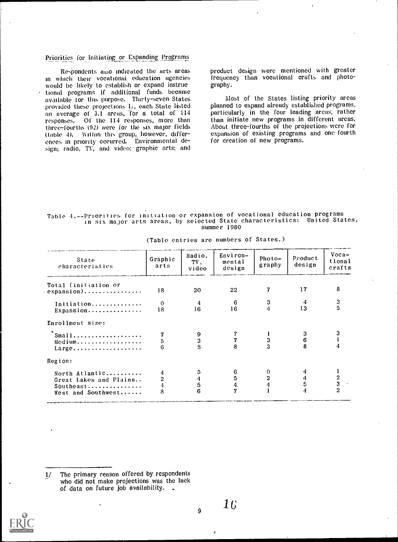# Priorities for Initiating or Expanding Programs

Respondents also indicated the arts areas<br>in which their vocational education agencies would be likely to establish or expand instructional programs if additional funds\_ became available tor tins purpose. Thirty-seven States provided these projections 1,, each State listed an average of 3.1 areas, for a total of <sup>114</sup> responses. Of the 114 responses, more than the initiate new programs in different areas.<br>three-fourths (92) were for the six major fields About three-fourths of the projections were for three-fourths (92) were for the six major fields (table 4). Within this group, however, differences in priority occurred. Environmental design; radio, TV, and video; graphic arts; and

product design were mentioned with greater frequency than vocational crafts and photography.

Most of the States listing priority areas planned to expand already established programs, particularly in the four leading areas, rather than initiate new programs in different areas. expansion of existing programs and one-fourth for creation of new programs.

# Table 4.--Priorities for initiation or expansion of vocational education programs in six major arts areas, by selected State characteristics: United States, summer 1980

| State<br>characteristics                                                    | Graphic<br>arts               | Radio,<br>TV,<br>video | Environ-<br>mental<br>design  | Photo-<br>graphy | Product<br>design  | $Voca-$<br>tional<br>crafts     |
|-----------------------------------------------------------------------------|-------------------------------|------------------------|-------------------------------|------------------|--------------------|---------------------------------|
| Total (initiation or                                                        | 18                            | 20                     | 22                            | 7                | 17                 | 8                               |
| Initiation<br>Expansion                                                     | $\mathbf 0$<br>18             | 4<br>16                | 6<br>16                       | 3<br>4           | 13                 | 3<br>5                          |
| Enrollment size:                                                            |                               |                        |                               |                  |                    |                                 |
| Small<br>Medium<br>Large                                                    | 5<br>6                        | $\mathbf 3$            | 8                             | $\frac{3}{3}$    | $\boldsymbol{6}$   | з                               |
| Region:                                                                     |                               |                        |                               |                  |                    |                                 |
| North Atlantic<br>Great Lakes and Plains<br>Southeast<br>West and Southwest | 4<br>$\overline{2}$<br>4<br>8 | 5<br>4<br>5<br>6       | 6<br>5<br>4<br>$\overline{7}$ | $\mathbf{2}$     | $\frac{4}{5}$<br>4 | $\frac{2}{3}$<br>$\overline{2}$ |

(Table entries are numbers of States.)

 $1/$  The primary reason offered by respondents<br>who did not make projections was the lack of data on future job availability. .

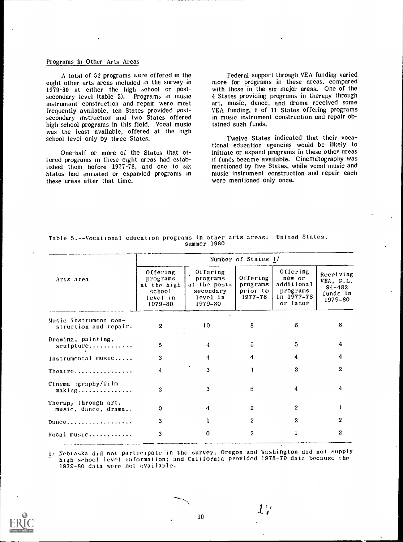# Programs in Other Arts Areas

A total of 52 programs were offered in the eight other arts areas included in the survey in 1979-80 at either the high school or postsecondary level (table 5). Programs in music Instrument construction and repair were most frequently available, ten States provided post- secondary instruction and two States offered high school programs in this field. Vocal music was the least available, offered at the high school level only by three States.

One-half or more of the States that offered programs in these eight areas had established them before 1977-78, and one to six mentioned by five States, while vocal music and States had initiated or expanded programs in these areas after that time.

Federal support through VEA funding varied more for programs in these areas, compared with those in the six major areas. One of the 4 States providing programs in therapy through art, music, dance, and drama received some VEA funding, 8 of 11 States offering programs in music instrument construction and repair obtained such funds.

Twelve States indicated that their vocational education agencies would be likely to initiate or expand programs in these other areas if funds became available. Cinematography was music instrument construction and repair each were mentioned only once.

|                                                   | Number of States 1/                                                                   |                                                                          |                                             |                                                                        |                                                             |  |  |  |
|---------------------------------------------------|---------------------------------------------------------------------------------------|--------------------------------------------------------------------------|---------------------------------------------|------------------------------------------------------------------------|-------------------------------------------------------------|--|--|--|
| Arts area                                         | Offering<br>programs<br>at the high<br>$\operatorname{school}$<br>level in<br>1979–80 | Offering<br>programs<br>at the post-<br>secondary<br>level in<br>1979-80 | Offering<br>programs<br>prior to<br>1977–78 | Offering<br>new or<br>additional<br>programs<br>in 1977-78<br>or later | Receiving<br>VEA, P.L.<br>$94 - 482$<br>funds in<br>1979-80 |  |  |  |
| Music instrument con-<br>struction and repair.    | $\mathbf{2}$                                                                          | 10                                                                       | 8                                           | 6.                                                                     | 8                                                           |  |  |  |
| Drawing, painting,<br>sculpture                   | 5                                                                                     | 4                                                                        | 5                                           | 5                                                                      | 4                                                           |  |  |  |
| Instrumental music                                | 3                                                                                     | 4                                                                        | 4                                           | 4                                                                      | 4                                                           |  |  |  |
| Theatre                                           | 4                                                                                     | 3                                                                        | 4                                           | $\mathbf{2}$                                                           | 2                                                           |  |  |  |
| Cinema >graphy/film<br>$m$ aking                  | 3                                                                                     | 3                                                                        | 5                                           | 4                                                                      | 4                                                           |  |  |  |
| Therap, through art,<br>music, dance, drama       | 0                                                                                     | 4                                                                        | 2                                           | $\mathbf{2}$                                                           |                                                             |  |  |  |
| $Dance \ldots \ldots \ldots \ldots \ldots \ldots$ | 3                                                                                     |                                                                          | $\mathbf{2}$                                | $\mathbf{2}$                                                           | 2                                                           |  |  |  |
| Vocal music                                       | 3                                                                                     | 0                                                                        | 2                                           |                                                                        | 2                                                           |  |  |  |
|                                                   |                                                                                       |                                                                          |                                             |                                                                        |                                                             |  |  |  |

# Table 5.--Vocational education programs in other arts areas: United States, summer 1980

1/ Nebraska did not participate in the survey; Oregon and Washington did not supply high school level information; and California provided 1978-79 data because the 1979-80 data were not available.

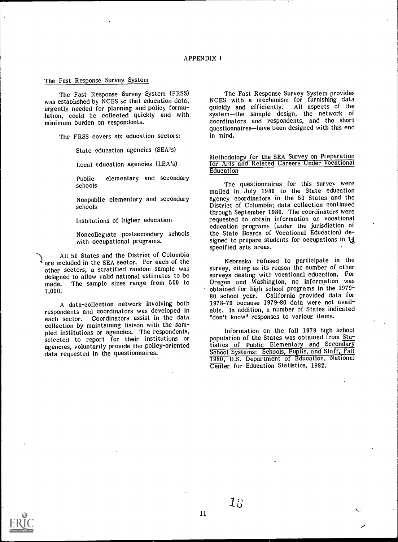# The Fast Response Survey System

The Fast Response Survey System (FRSS) was established by NCES so that education data, urgently needed for planning and policy formulation, could be collected quickly and with minimum burden on respondents.

The FRSS covers six education sectors:

State education agencies (SEA's)

Local education agencies (LEA's)

Public elementary and secondary schools

Nonpublic elementary and secondary schools

Institutions of higher education

Noncollegiate postsecondary schools with occupational programs.

All 50 States and the District of Columbia are included in the SEA sector. For each of the other sectors, a stratified random sample was designed to allow valid national estimates to be made. The sample sizes range from 500 to 1,000.

A data-collection network involving both respondents and coordinators was developed in each sector. Coordinators assist in the data collection by maintaining liaison with the sampled institutions or agencies. The respondents, selected to report for their institutions or agencies, voluntarily provide the policy-oriented data requested in the questionnaires.

The Fast Response Survey System provides NCES with a mechanism for furnishing data quickly and efficiently. All aspects of the system-the sample design, the network of coordinators and respondents, and the short questionnaires—have been designed with this end in mind.

Methodology for the SEA Survey on Pieparation for Arts and Related Careers Under Vocational **Education** 

The questionnaires for this survey were mailed in July 1980 to the State education agency coordinators in the 50 States and the District of Columbia; data collection continued through September 1980. The coordinators were requested to obtain information on vocational education programs (under the jurisdiction of the State Boards of Vocational Education) designed to prepare students for occupations in 14 specified arts areas.

Nebraska refused to participate in the survey, citing as its reason the number of other surveys dealing with vocational education. For Oregon and Washington, no information was obtained for high school programs in the 1979- 80 school year. California provided data for 1978-79 because 1979-80 data were not available. In addition, a number of States indicated "don't know" responses to various items.

Information on the fall 1979 high school population of the States was obtained from Statistics of Public Elementary and Secondary School Systems: Schools, Pupils, and Staff, Fall 1980, U.S. Department of Education, National Center for Education Statistics, 1982.



 $18\,$